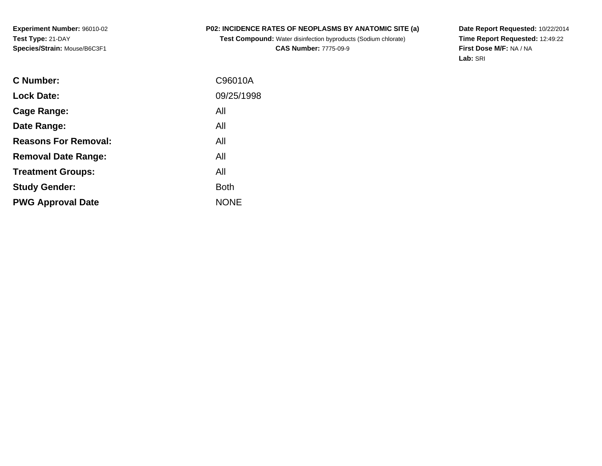**Experiment Number:** 96010-02**Test Type:** 21-DAY**Species/Strain:** Mouse/B6C3F1

## **P02: INCIDENCE RATES OF NEOPLASMS BY ANATOMIC SITE (a)**

**Test Compound:** Water disinfection byproducts (Sodium chlorate)**CAS Number:** 7775-09-9

**Date Report Requested:** 10/22/2014 **Time Report Requested:** 12:49:22**First Dose M/F:** NA / NA**Lab:** SRI

| C96010A     |
|-------------|
| 09/25/1998  |
| All         |
| All         |
| All         |
| All         |
| All         |
| <b>Both</b> |
| <b>NONE</b> |
|             |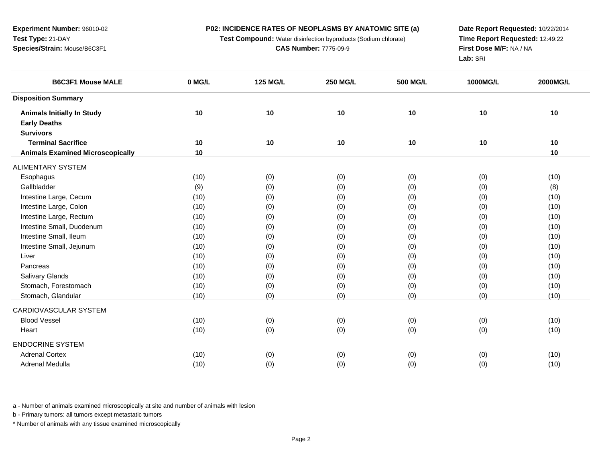**Experiment Number:** 96010-02**Test Type:** 21-DAY**Species/Strain:** Mouse/B6C3F1

**Test Compound:** Water disinfection byproducts (Sodium chlorate)

**Date Report Requested:** 10/22/2014 **Time Report Requested:** 12:49:22**First Dose M/F:** NA / NA**Lab:** SRI

| <b>B6C3F1 Mouse MALE</b>                | 0 MG/L | <b>125 MG/L</b> | <b>250 MG/L</b> | <b>500 MG/L</b> | 1000MG/L | 2000MG/L |
|-----------------------------------------|--------|-----------------|-----------------|-----------------|----------|----------|
| <b>Disposition Summary</b>              |        |                 |                 |                 |          |          |
| <b>Animals Initially In Study</b>       | 10     | 10              | 10              | $10$            | 10       | 10       |
| <b>Early Deaths</b>                     |        |                 |                 |                 |          |          |
| <b>Survivors</b>                        |        |                 |                 |                 |          |          |
| <b>Terminal Sacrifice</b>               | 10     | 10              | 10              | 10              | 10       | 10       |
| <b>Animals Examined Microscopically</b> | 10     |                 |                 |                 |          | 10       |
| <b>ALIMENTARY SYSTEM</b>                |        |                 |                 |                 |          |          |
| Esophagus                               | (10)   | (0)             | (0)             | (0)             | (0)      | (10)     |
| Gallbladder                             | (9)    | (0)             | (0)             | (0)             | (0)      | (8)      |
| Intestine Large, Cecum                  | (10)   | (0)             | (0)             | (0)             | (0)      | (10)     |
| Intestine Large, Colon                  | (10)   | (0)             | (0)             | (0)             | (0)      | (10)     |
| Intestine Large, Rectum                 | (10)   | (0)             | (0)             | (0)             | (0)      | (10)     |
| Intestine Small, Duodenum               | (10)   | (0)             | (0)             | (0)             | (0)      | (10)     |
| Intestine Small, Ileum                  | (10)   | (0)             | (0)             | (0)             | (0)      | (10)     |
| Intestine Small, Jejunum                | (10)   | (0)             | (0)             | (0)             | (0)      | (10)     |
| Liver                                   | (10)   | (0)             | (0)             | (0)             | (0)      | (10)     |
| Pancreas                                | (10)   | (0)             | (0)             | (0)             | (0)      | (10)     |
| Salivary Glands                         | (10)   | (0)             | (0)             | (0)             | (0)      | (10)     |
| Stomach, Forestomach                    | (10)   | (0)             | (0)             | (0)             | (0)      | (10)     |
| Stomach, Glandular                      | (10)   | (0)             | (0)             | (0)             | (0)      | (10)     |
| CARDIOVASCULAR SYSTEM                   |        |                 |                 |                 |          |          |
| <b>Blood Vessel</b>                     | (10)   | (0)             | (0)             | (0)             | (0)      | (10)     |
| Heart                                   | (10)   | (0)             | (0)             | (0)             | (0)      | (10)     |
| <b>ENDOCRINE SYSTEM</b>                 |        |                 |                 |                 |          |          |
| <b>Adrenal Cortex</b>                   | (10)   | (0)             | (0)             | (0)             | (0)      | (10)     |
| Adrenal Medulla                         | (10)   | (0)             | (0)             | (0)             | (0)      | (10)     |

a - Number of animals examined microscopically at site and number of animals with lesion

b - Primary tumors: all tumors except metastatic tumors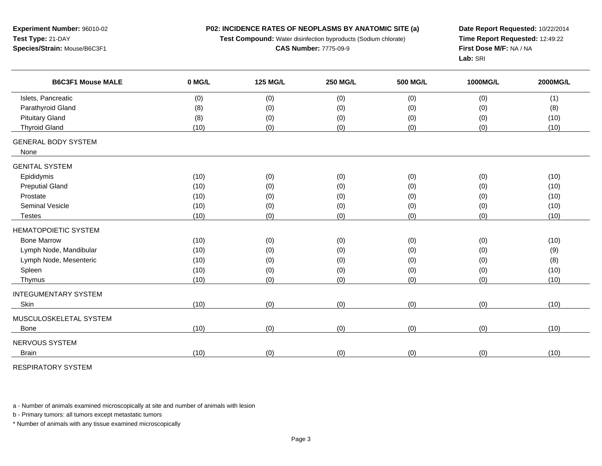**Experiment Number:** 96010-02**Test Type:** 21-DAY**Species/Strain:** Mouse/B6C3F1

**Test Compound:** Water disinfection byproducts (Sodium chlorate)

**Date Report Requested:** 10/22/2014 **Time Report Requested:** 12:49:22**First Dose M/F:** NA / NA**Lab:** SRI

| <b>B6C3F1 Mouse MALE</b>    | 0 MG/L | <b>125 MG/L</b> | <b>250 MG/L</b> | 500 MG/L | 1000MG/L | <b>2000MG/L</b> |
|-----------------------------|--------|-----------------|-----------------|----------|----------|-----------------|
| Islets, Pancreatic          | (0)    | (0)             | (0)             | (0)      | (0)      | (1)             |
| Parathyroid Gland           | (8)    | (0)             | (0)             | (0)      | (0)      | (8)             |
| <b>Pituitary Gland</b>      | (8)    | (0)             | (0)             | (0)      | (0)      | (10)            |
| <b>Thyroid Gland</b>        | (10)   | (0)             | (0)             | (0)      | (0)      | (10)            |
| <b>GENERAL BODY SYSTEM</b>  |        |                 |                 |          |          |                 |
| None                        |        |                 |                 |          |          |                 |
| <b>GENITAL SYSTEM</b>       |        |                 |                 |          |          |                 |
| Epididymis                  | (10)   | (0)             | (0)             | (0)      | (0)      | (10)            |
| <b>Preputial Gland</b>      | (10)   | (0)             | (0)             | (0)      | (0)      | (10)            |
| Prostate                    | (10)   | (0)             | (0)             | (0)      | (0)      | (10)            |
| Seminal Vesicle             | (10)   | (0)             | (0)             | (0)      | (0)      | (10)            |
| <b>Testes</b>               | (10)   | (0)             | (0)             | (0)      | (0)      | (10)            |
| <b>HEMATOPOIETIC SYSTEM</b> |        |                 |                 |          |          |                 |
| <b>Bone Marrow</b>          | (10)   | (0)             | (0)             | (0)      | (0)      | (10)            |
| Lymph Node, Mandibular      | (10)   | (0)             | (0)             | (0)      | (0)      | (9)             |
| Lymph Node, Mesenteric      | (10)   | (0)             | (0)             | (0)      | (0)      | (8)             |
| Spleen                      | (10)   | (0)             | (0)             | (0)      | (0)      | (10)            |
| Thymus                      | (10)   | (0)             | (0)             | (0)      | (0)      | (10)            |
| <b>INTEGUMENTARY SYSTEM</b> |        |                 |                 |          |          |                 |
| Skin                        | (10)   | (0)             | (0)             | (0)      | (0)      | (10)            |
| MUSCULOSKELETAL SYSTEM      |        |                 |                 |          |          |                 |
| Bone                        | (10)   | (0)             | (0)             | (0)      | (0)      | (10)            |
| NERVOUS SYSTEM              |        |                 |                 |          |          |                 |
| <b>Brain</b>                | (10)   | (0)             | (0)             | (0)      | (0)      | (10)            |

RESPIRATORY SYSTEM

a - Number of animals examined microscopically at site and number of animals with lesion

b - Primary tumors: all tumors except metastatic tumors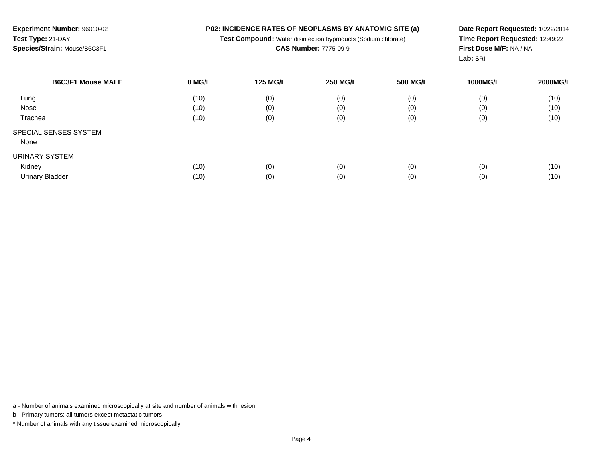**Experiment Number:** 96010-02**Test Type:** 21-DAY**Species/Strain:** Mouse/B6C3F1

**Test Compound:** Water disinfection byproducts (Sodium chlorate)

## **CAS Number:** 7775-09-9

**Date Report Requested:** 10/22/2014 **Time Report Requested:** 12:49:22**First Dose M/F:** NA / NA**Lab:** SRI

| <b>B6C3F1 Mouse MALE</b> | 0 MG/L | <b>125 MG/L</b> | <b>250 MG/L</b> | <b>500 MG/L</b> | <b>1000MG/L</b> | 2000MG/L |
|--------------------------|--------|-----------------|-----------------|-----------------|-----------------|----------|
| Lung                     | (10)   | (0)             | (0)             | (0)             | (0)             | (10)     |
| Nose                     | (10)   | (0)             | (0)             | (0)             | (0)             | (10)     |
| Trachea                  | (10)   | (0)             | (0)             | (0)             | (0)             | (10)     |
| SPECIAL SENSES SYSTEM    |        |                 |                 |                 |                 |          |
| None                     |        |                 |                 |                 |                 |          |
| URINARY SYSTEM           |        |                 |                 |                 |                 |          |
| Kidney                   | (10)   | (0)             | (0)             | (0)             | (0)             | (10)     |
| <b>Urinary Bladder</b>   | (10)   | (0)             | (0)             | (0)             | (0)             | (10)     |

a - Number of animals examined microscopically at site and number of animals with lesion

b - Primary tumors: all tumors except metastatic tumors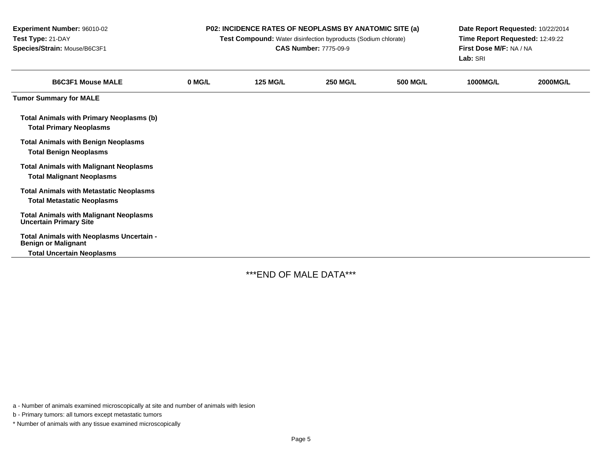| Experiment Number: 96010-02<br>Test Type: 21-DAY<br>Species/Strain: Mouse/B6C3F1    |        | P02: INCIDENCE RATES OF NEOPLASMS BY ANATOMIC SITE (a)<br>Test Compound: Water disinfection byproducts (Sodium chlorate)<br><b>CAS Number: 7775-09-9</b> | Date Report Requested: 10/22/2014<br>Time Report Requested: 12:49:22<br>First Dose M/F: NA / NA<br>Lab: SRI |                 |                 |                 |
|-------------------------------------------------------------------------------------|--------|----------------------------------------------------------------------------------------------------------------------------------------------------------|-------------------------------------------------------------------------------------------------------------|-----------------|-----------------|-----------------|
| <b>B6C3F1 Mouse MALE</b>                                                            | 0 MG/L | <b>125 MG/L</b>                                                                                                                                          | <b>250 MG/L</b>                                                                                             | <b>500 MG/L</b> | <b>1000MG/L</b> | <b>2000MG/L</b> |
| <b>Tumor Summary for MALE</b>                                                       |        |                                                                                                                                                          |                                                                                                             |                 |                 |                 |
| <b>Total Animals with Primary Neoplasms (b)</b><br><b>Total Primary Neoplasms</b>   |        |                                                                                                                                                          |                                                                                                             |                 |                 |                 |
| <b>Total Animals with Benign Neoplasms</b><br><b>Total Benign Neoplasms</b>         |        |                                                                                                                                                          |                                                                                                             |                 |                 |                 |
| <b>Total Animals with Malignant Neoplasms</b><br><b>Total Malignant Neoplasms</b>   |        |                                                                                                                                                          |                                                                                                             |                 |                 |                 |
| <b>Total Animals with Metastatic Neoplasms</b><br><b>Total Metastatic Neoplasms</b> |        |                                                                                                                                                          |                                                                                                             |                 |                 |                 |
| <b>Total Animals with Malignant Neoplasms</b><br><b>Uncertain Primary Site</b>      |        |                                                                                                                                                          |                                                                                                             |                 |                 |                 |
| Total Animals with Neoplasms Uncertain -<br><b>Benign or Malignant</b>              |        |                                                                                                                                                          |                                                                                                             |                 |                 |                 |
| <b>Total Uncertain Neoplasms</b>                                                    |        |                                                                                                                                                          |                                                                                                             |                 |                 |                 |

\*\*\*END OF MALE DATA\*\*\*

a - Number of animals examined microscopically at site and number of animals with lesion

b - Primary tumors: all tumors except metastatic tumors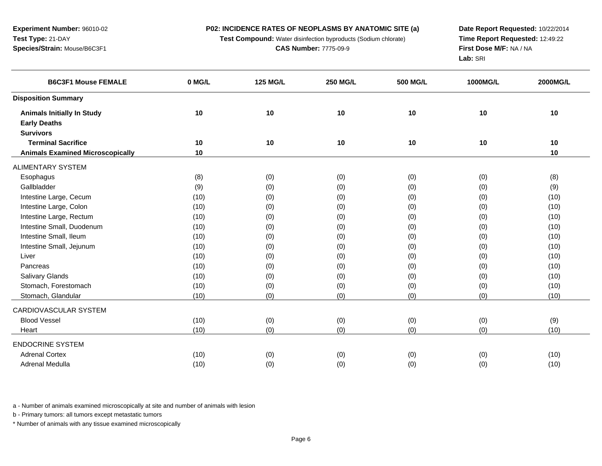**Experiment Number:** 96010-02**Test Type:** 21-DAY**Species/Strain:** Mouse/B6C3F1

**Test Compound:** Water disinfection byproducts (Sodium chlorate)

**Date Report Requested:** 10/22/2014 **Time Report Requested:** 12:49:22**First Dose M/F:** NA / NA**Lab:** SRI

| <b>B6C3F1 Mouse FEMALE</b>              | 0 MG/L | <b>125 MG/L</b> | <b>250 MG/L</b> | <b>500 MG/L</b> | 1000MG/L | 2000MG/L |
|-----------------------------------------|--------|-----------------|-----------------|-----------------|----------|----------|
| <b>Disposition Summary</b>              |        |                 |                 |                 |          |          |
| <b>Animals Initially In Study</b>       | 10     | 10              | 10              | 10              | 10       | 10       |
| <b>Early Deaths</b>                     |        |                 |                 |                 |          |          |
| <b>Survivors</b>                        |        |                 |                 |                 |          |          |
| <b>Terminal Sacrifice</b>               | 10     | 10              | 10              | 10              | 10       | 10       |
| <b>Animals Examined Microscopically</b> | 10     |                 |                 |                 |          | 10       |
| ALIMENTARY SYSTEM                       |        |                 |                 |                 |          |          |
| Esophagus                               | (8)    | (0)             | (0)             | (0)             | (0)      | (8)      |
| Gallbladder                             | (9)    | (0)             | (0)             | (0)             | (0)      | (9)      |
| Intestine Large, Cecum                  | (10)   | (0)             | (0)             | (0)             | (0)      | (10)     |
| Intestine Large, Colon                  | (10)   | (0)             | (0)             | (0)             | (0)      | (10)     |
| Intestine Large, Rectum                 | (10)   | (0)             | (0)             | (0)             | (0)      | (10)     |
| Intestine Small, Duodenum               | (10)   | (0)             | (0)             | (0)             | (0)      | (10)     |
| Intestine Small, Ileum                  | (10)   | (0)             | (0)             | (0)             | (0)      | (10)     |
| Intestine Small, Jejunum                | (10)   | (0)             | (0)             | (0)             | (0)      | (10)     |
| Liver                                   | (10)   | (0)             | (0)             | (0)             | (0)      | (10)     |
| Pancreas                                | (10)   | (0)             | (0)             | (0)             | (0)      | (10)     |
| Salivary Glands                         | (10)   | (0)             | (0)             | (0)             | (0)      | (10)     |
| Stomach, Forestomach                    | (10)   | (0)             | (0)             | (0)             | (0)      | (10)     |
| Stomach, Glandular                      | (10)   | (0)             | (0)             | (0)             | (0)      | (10)     |
| CARDIOVASCULAR SYSTEM                   |        |                 |                 |                 |          |          |
| <b>Blood Vessel</b>                     | (10)   | (0)             | (0)             | (0)             | (0)      | (9)      |
| Heart                                   | (10)   | (0)             | (0)             | (0)             | (0)      | (10)     |
| <b>ENDOCRINE SYSTEM</b>                 |        |                 |                 |                 |          |          |
| <b>Adrenal Cortex</b>                   | (10)   | (0)             | (0)             | (0)             | (0)      | (10)     |
| Adrenal Medulla                         | (10)   | (0)             | (0)             | (0)             | (0)      | (10)     |

a - Number of animals examined microscopically at site and number of animals with lesion

b - Primary tumors: all tumors except metastatic tumors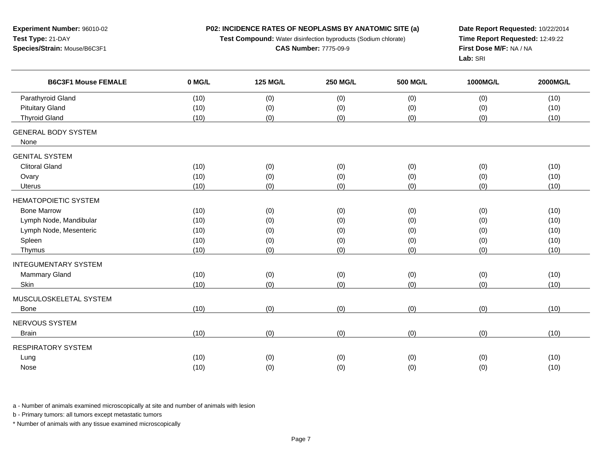**Experiment Number:** 96010-02**Test Type:** 21-DAY**Species/Strain:** Mouse/B6C3F1

**Test Compound:** Water disinfection byproducts (Sodium chlorate)

## **CAS Number:** 7775-09-9

**Date Report Requested:** 10/22/2014 **Time Report Requested:** 12:49:22**First Dose M/F:** NA / NA**Lab:** SRI

| <b>B6C3F1 Mouse FEMALE</b>  | 0 MG/L | <b>125 MG/L</b> | <b>250 MG/L</b> | <b>500 MG/L</b> | 1000MG/L | 2000MG/L |
|-----------------------------|--------|-----------------|-----------------|-----------------|----------|----------|
| Parathyroid Gland           | (10)   | (0)             | (0)             | (0)             | (0)      | (10)     |
| <b>Pituitary Gland</b>      | (10)   | (0)             | (0)             | (0)             | (0)      | (10)     |
| <b>Thyroid Gland</b>        | (10)   | (0)             | (0)             | (0)             | (0)      | (10)     |
| <b>GENERAL BODY SYSTEM</b>  |        |                 |                 |                 |          |          |
| None                        |        |                 |                 |                 |          |          |
| <b>GENITAL SYSTEM</b>       |        |                 |                 |                 |          |          |
| <b>Clitoral Gland</b>       | (10)   | (0)             | (0)             | (0)             | (0)      | (10)     |
| Ovary                       | (10)   | (0)             | (0)             | (0)             | (0)      | (10)     |
| Uterus                      | (10)   | (0)             | (0)             | (0)             | (0)      | (10)     |
| <b>HEMATOPOIETIC SYSTEM</b> |        |                 |                 |                 |          |          |
| <b>Bone Marrow</b>          | (10)   | (0)             | (0)             | (0)             | (0)      | (10)     |
| Lymph Node, Mandibular      | (10)   | (0)             | (0)             | (0)             | (0)      | (10)     |
| Lymph Node, Mesenteric      | (10)   | (0)             | (0)             | (0)             | (0)      | (10)     |
| Spleen                      | (10)   | (0)             | (0)             | (0)             | (0)      | (10)     |
| Thymus                      | (10)   | (0)             | (0)             | (0)             | (0)      | (10)     |
| <b>INTEGUMENTARY SYSTEM</b> |        |                 |                 |                 |          |          |
| <b>Mammary Gland</b>        | (10)   | (0)             | (0)             | (0)             | (0)      | (10)     |
| Skin                        | (10)   | (0)             | (0)             | (0)             | (0)      | (10)     |
| MUSCULOSKELETAL SYSTEM      |        |                 |                 |                 |          |          |
| <b>Bone</b>                 | (10)   | (0)             | (0)             | (0)             | (0)      | (10)     |
| NERVOUS SYSTEM              |        |                 |                 |                 |          |          |
| <b>Brain</b>                | (10)   | (0)             | (0)             | (0)             | (0)      | (10)     |
| <b>RESPIRATORY SYSTEM</b>   |        |                 |                 |                 |          |          |
| Lung                        | (10)   | (0)             | (0)             | (0)             | (0)      | (10)     |
| Nose                        | (10)   | (0)             | (0)             | (0)             | (0)      | (10)     |

a - Number of animals examined microscopically at site and number of animals with lesion

b - Primary tumors: all tumors except metastatic tumors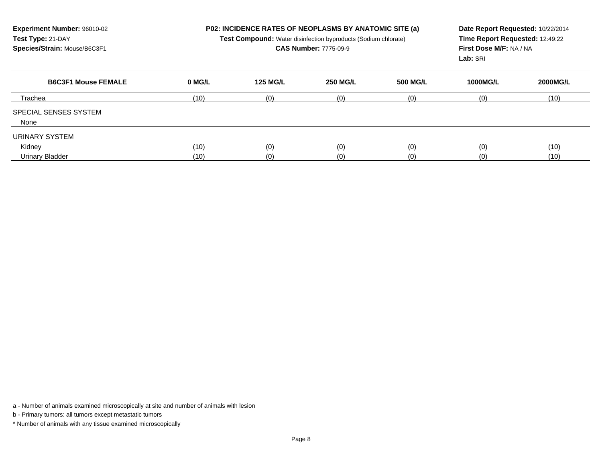| Experiment Number: 96010-02<br>Test Type: 21-DAY<br>Species/Strain: Mouse/B6C3F1 |        |                 | <b>P02: INCIDENCE RATES OF NEOPLASMS BY ANATOMIC SITE (a)</b><br>Date Report Requested: 10/22/2014<br>Time Report Requested: 12:49:22<br><b>Test Compound:</b> Water disinfection byproducts (Sodium chlorate)<br><b>CAS Number: 7775-09-9</b><br>First Dose M/F: NA / NA<br>Lab: SRI |                 |                 |                 |
|----------------------------------------------------------------------------------|--------|-----------------|---------------------------------------------------------------------------------------------------------------------------------------------------------------------------------------------------------------------------------------------------------------------------------------|-----------------|-----------------|-----------------|
| <b>B6C3F1 Mouse FEMALE</b>                                                       | 0 MG/L | <b>125 MG/L</b> | <b>250 MG/L</b>                                                                                                                                                                                                                                                                       | <b>500 MG/L</b> | <b>1000MG/L</b> | <b>2000MG/L</b> |
| Trachea                                                                          | (10)   | (0)             | (0)                                                                                                                                                                                                                                                                                   | (0)             | (0)             | (10)            |
| <b>SPECIAL SENSES SYSTEM</b><br>None                                             |        |                 |                                                                                                                                                                                                                                                                                       |                 |                 |                 |
| URINARY SYSTEM                                                                   |        |                 |                                                                                                                                                                                                                                                                                       |                 |                 |                 |
| Kidney                                                                           | (10)   | (0)             | (0)                                                                                                                                                                                                                                                                                   | (0)             | (0)             | (10)            |
| Urinary Bladder                                                                  | (10)   | (0)             | (0)                                                                                                                                                                                                                                                                                   | (0)             | (0)             | (10)            |

a - Number of animals examined microscopically at site and number of animals with lesion

b - Primary tumors: all tumors except metastatic tumors